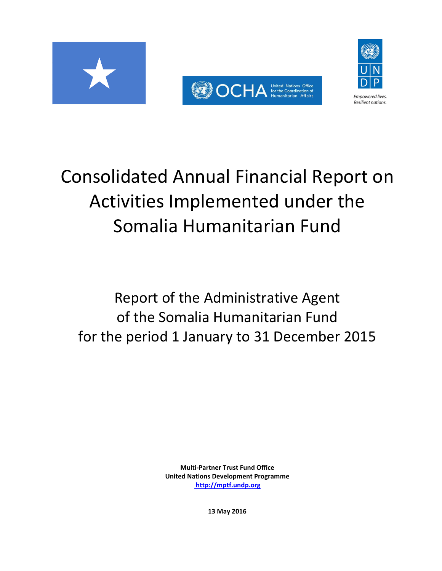





# Consolidated Annual Financial Report on Activities Implemented under the Somalia Humanitarian Fund

## Report of the Administrative Agent of the Somalia Humanitarian Fund for the period 1 January to 31 December 2015

**Multi-Partner Trust Fund Office United Nations Development Programme  [http://mptf.undp.org](http://mptf.undp.org/)**

**13 May 2016**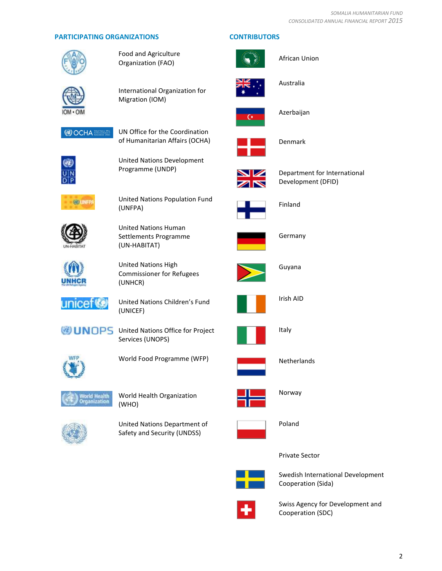#### **PARTICIPATING ORGANIZATIONS CONTRIBUTORS**



Food and Agriculture Organization (FAO)



International Organization for Migration (IOM)



UN Office for the Coordination of Humanitarian Affairs (OCHA)



United Nations Development Programme (UNDP)



United Nations Population Fund (UNFPA)



United Nations Human Settlements Programme (UN-HABITAT)



United Nations High Commissioner for Refugees (UNHCR)



United Nations Children's Fund (UNICEF)



**UNOPS** United Nations Office for Project Services (UNOPS)



World Food Programme (WFP)



World Health Organization (WHO)



United Nations Department of Safety and Security (UNDSS)





African Union



Australia



Azerbaijan



Denmark



Department for International Development (DFID)



Finland



Germany



Guyana



Irish AID







Italy



Netherlands



Norway



Poland

Private Sector



Swedish International Development Cooperation (Sida)



Swiss Agency for Development and Cooperation (SDC)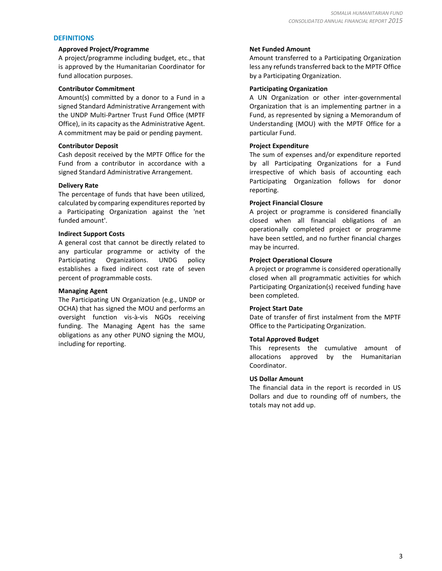#### **DEFINITIONS**

#### **Approved Project/Programme**

A project/programme including budget, etc., that is approved by the Humanitarian Coordinator for fund allocation purposes.

#### **Contributor Commitment**

Amount(s) committed by a donor to a Fund in a signed Standard Administrative Arrangement with the UNDP Multi-Partner Trust Fund Office (MPTF Office), in its capacity as the Administrative Agent. A commitment may be paid or pending payment.

#### **Contributor Deposit**

Cash deposit received by the MPTF Office for the Fund from a contributor in accordance with a signed Standard Administrative Arrangement.

#### **Delivery Rate**

The percentage of funds that have been utilized, calculated by comparing expenditures reported by a Participating Organization against the 'net funded amount'.

#### **Indirect Support Costs**

A general cost that cannot be directly related to any particular programme or activity of the Participating Organizations. UNDG policy establishes a fixed indirect cost rate of seven percent of programmable costs.

#### **Managing Agent**

The Participating UN Organization (e.g., UNDP or OCHA) that has signed the MOU and performs an oversight function vis-à-vis NGOs receiving funding. The Managing Agent has the same obligations as any other PUNO signing the MOU, including for reporting.

#### **Net Funded Amount**

Amount transferred to a Participating Organization less any refunds transferred back to the MPTF Office by a Participating Organization.

#### **Participating Organization**

A UN Organization or other inter-governmental Organization that is an implementing partner in a Fund, as represented by signing a Memorandum of Understanding (MOU) with the MPTF Office for a particular Fund.

#### **Project Expenditure**

The sum of expenses and/or expenditure reported by all Participating Organizations for a Fund irrespective of which basis of accounting each Participating Organization follows for donor reporting.

#### **Project Financial Closure**

A project or programme is considered financially closed when all financial obligations of an operationally completed project or programme have been settled, and no further financial charges may be incurred.

#### **Project Operational Closure**

A project or programme is considered operationally closed when all programmatic activities for which Participating Organization(s) received funding have been completed.

#### **Project Start Date**

Date of transfer of first instalment from the MPTF Office to the Participating Organization.

#### **Total Approved Budget**

This represents the cumulative amount of allocations approved by the Humanitarian Coordinator.

#### **US Dollar Amount**

The financial data in the report is recorded in US Dollars and due to rounding off of numbers, the totals may not add up.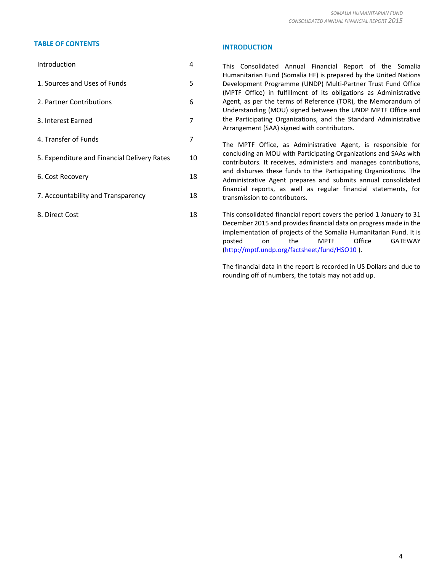### **TABLE OF CONTENTS INTRODUCTION**

| Introduction                                | 4  |
|---------------------------------------------|----|
| 1. Sources and Uses of Funds                | 5  |
| 2. Partner Contributions                    | 6  |
| 3. Interest Earned                          | 7  |
| 4. Transfer of Funds                        | 7  |
| 5. Expenditure and Financial Delivery Rates | 10 |
| 6. Cost Recovery                            | 18 |
| 7. Accountability and Transparency          | 18 |
| 8. Direct Cost                              | 18 |
|                                             |    |

This Consolidated Annual Financial Report of the Somalia Humanitarian Fund (Somalia HF) is prepared by the United Nations Development Programme (UNDP) Multi-Partner Trust Fund Office (MPTF Office) in fulfillment of its obligations as Administrative Agent, as per the terms of Reference (TOR), the Memorandum of Understanding (MOU) signed between the UNDP MPTF Office and the Participating Organizations, and the Standard Administrative Arrangement (SAA) signed with contributors.

The MPTF Office, as Administrative Agent, is responsible for concluding an MOU with Participating Organizations and SAAs with contributors. It receives, administers and manages contributions, and disburses these funds to the Participating Organizations. The Administrative Agent prepares and submits annual consolidated financial reports, as well as regular financial statements, for transmission to contributors.

This consolidated financial report covers the period 1 January to 31 December 2015 and provides financial data on progress made in the implementation of projects of the Somalia Humanitarian Fund. It is posted on the MPTF Office GATEWAY [\(http://mptf.undp.org/factsheet/fund/HSO10](http://mptf.undp.org/factsheet/fund/HSO10) ).

The financial data in the report is recorded in US Dollars and due to rounding off of numbers, the totals may not add up.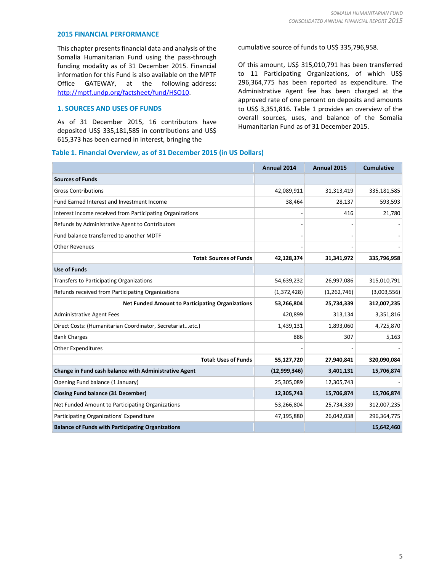#### **2015 FINANCIAL PERFORMANCE**

This chapter presents financial data and analysis of the Somalia Humanitarian Fund using the pass-through funding modality as of 31 December 2015. Financial information for this Fund is also available on the MPTF Office GATEWAY, at the following address: [http://mptf.undp.org/factsheet/fund/HSO10.](http://mptf.undp.org/factsheet/fund/HSO10)

#### **1. SOURCES AND USES OF FUNDS**

As of 31 December 2015, 16 contributors have deposited US\$ 335,181,585 in contributions and US\$ 615,373 has been earned in interest, bringing the

#### **Table 1. Financial Overview, as of 31 December 2015 (in US Dollars)**

cumulative source of funds to US\$ 335,796,958.

Of this amount, US\$ 315,010,791 has been transferred to 11 Participating Organizations, of which US\$ 296,364,775 has been reported as expenditure. The Administrative Agent fee has been charged at the approved rate of one percent on deposits and amounts to US\$ 3,351,816. Table 1 provides an overview of the overall sources, uses, and balance of the Somalia Humanitarian Fund as of 31 December 2015.

|                                                           | Annual 2014  | <b>Annual 2015</b> | <b>Cumulative</b> |
|-----------------------------------------------------------|--------------|--------------------|-------------------|
| <b>Sources of Funds</b>                                   |              |                    |                   |
| <b>Gross Contributions</b>                                | 42,089,911   | 31,313,419         | 335,181,585       |
| Fund Earned Interest and Investment Income                | 38,464       | 28,137             | 593,593           |
| Interest Income received from Participating Organizations |              | 416                | 21,780            |
| Refunds by Administrative Agent to Contributors           |              |                    |                   |
| Fund balance transferred to another MDTF                  |              |                    |                   |
| <b>Other Revenues</b>                                     |              |                    |                   |
| <b>Total: Sources of Funds</b>                            | 42,128,374   | 31,341,972         | 335,796,958       |
| <b>Use of Funds</b>                                       |              |                    |                   |
| <b>Transfers to Participating Organizations</b>           | 54,639,232   | 26,997,086         | 315,010,791       |
| Refunds received from Participating Organizations         | (1,372,428)  | (1, 262, 746)      | (3,003,556)       |
| <b>Net Funded Amount to Participating Organizations</b>   | 53,266,804   | 25,734,339         | 312,007,235       |
| <b>Administrative Agent Fees</b>                          | 420,899      | 313,134            | 3,351,816         |
| Direct Costs: (Humanitarian Coordinator, Secretariatetc.) | 1,439,131    | 1,893,060          | 4,725,870         |
| <b>Bank Charges</b>                                       | 886          | 307                | 5,163             |
| <b>Other Expenditures</b>                                 |              |                    |                   |
| <b>Total: Uses of Funds</b>                               | 55,127,720   | 27,940,841         | 320,090,084       |
| Change in Fund cash balance with Administrative Agent     | (12,999,346) | 3,401,131          | 15,706,874        |
| Opening Fund balance (1 January)                          | 25,305,089   | 12,305,743         |                   |
| <b>Closing Fund balance (31 December)</b>                 | 12,305,743   | 15,706,874         | 15,706,874        |
| Net Funded Amount to Participating Organizations          | 53,266,804   | 25,734,339         | 312,007,235       |
| Participating Organizations' Expenditure                  | 47,195,880   | 26,042,038         | 296,364,775       |
| <b>Balance of Funds with Participating Organizations</b>  |              |                    | 15,642,460        |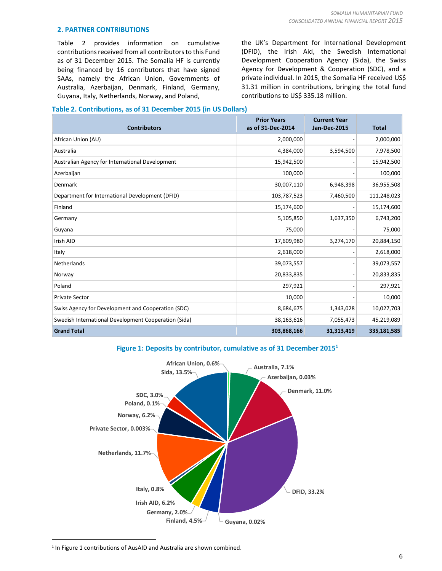#### **2. PARTNER CONTRIBUTIONS**

Table 2 provides information on cumulative contributions received from all contributors to this Fund as of 31 December 2015. The Somalia HF is currently being financed by 16 contributors that have signed SAAs, namely the African Union, Governments of Australia, Azerbaijan, Denmark, Finland, Germany, Guyana, Italy, Netherlands, Norway, and Poland,

the UK's Department for International Development (DFID), the Irish Aid, the Swedish International Development Cooperation Agency (Sida), the Swiss Agency for Development & Cooperation (SDC), and a private individual. In 2015, the Somalia HF received US\$ 31.31 million in contributions, bringing the total fund contributions to US\$ 335.18 million.

#### **Table 2. Contributions, as of 31 December 2015 (in US Dollars)**

| <b>Contributors</b>                                  | <b>Prior Years</b><br>as of 31-Dec-2014 | <b>Current Year</b><br><b>Jan-Dec-2015</b> | <b>Total</b> |
|------------------------------------------------------|-----------------------------------------|--------------------------------------------|--------------|
| African Union (AU)                                   | 2,000,000                               |                                            | 2,000,000    |
| Australia                                            | 4,384,000                               | 3,594,500                                  | 7,978,500    |
| Australian Agency for International Development      | 15,942,500                              |                                            | 15,942,500   |
| Azerbaijan                                           | 100,000                                 |                                            | 100,000      |
| Denmark                                              | 30,007,110                              | 6,948,398                                  | 36,955,508   |
| Department for International Development (DFID)      | 103,787,523                             | 7,460,500                                  | 111,248,023  |
| Finland                                              | 15,174,600                              |                                            | 15,174,600   |
| Germany                                              | 5,105,850                               | 1,637,350                                  | 6,743,200    |
| Guyana                                               | 75,000                                  |                                            | 75,000       |
| Irish AID                                            | 17,609,980                              | 3,274,170                                  | 20,884,150   |
| Italy                                                | 2,618,000                               |                                            | 2,618,000    |
| Netherlands                                          | 39,073,557                              |                                            | 39,073,557   |
| Norway                                               | 20,833,835                              |                                            | 20,833,835   |
| Poland                                               | 297,921                                 |                                            | 297,921      |
| <b>Private Sector</b>                                | 10,000                                  |                                            | 10,000       |
| Swiss Agency for Development and Cooperation (SDC)   | 8,684,675                               | 1,343,028                                  | 10,027,703   |
| Swedish International Development Cooperation (Sida) | 38,163,616                              | 7,055,473                                  | 45,219,089   |
| <b>Grand Total</b>                                   | 303,868,166                             | 31,313,419                                 | 335,181,585  |

**Figure 1: Deposits by contributor, cumulative as of 31 December 2015<sup>1</sup>**



<sup>&</sup>lt;sup>1</sup> In Figure 1 contributions of AusAID and Australia are shown combined.

 $\overline{a}$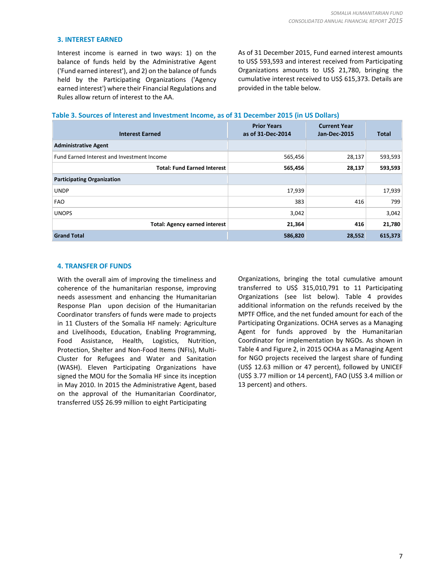#### **3. INTEREST EARNED**

Interest income is earned in two ways: 1) on the balance of funds held by the Administrative Agent ('Fund earned interest'), and 2) on the balance of funds held by the Participating Organizations ('Agency earned interest') where their Financial Regulations and Rules allow return of interest to the AA.

As of 31 December 2015, Fund earned interest amounts to US\$ 593,593 and interest received from Participating Organizations amounts to US\$ 21,780, bringing the cumulative interest received to US\$ 615,373. Details are provided in the table below.

#### **Table 3. Sources of Interest and Investment Income, as of 31 December 2015 (in US Dollars)**

| <b>Interest Earned</b>                     | <b>Prior Years</b><br>as of 31-Dec-2014 | <b>Current Year</b><br><b>Jan-Dec-2015</b> | <b>Total</b> |
|--------------------------------------------|-----------------------------------------|--------------------------------------------|--------------|
| <b>Administrative Agent</b>                |                                         |                                            |              |
| Fund Earned Interest and Investment Income | 565,456                                 | 28,137                                     | 593,593      |
| <b>Total: Fund Earned Interest</b>         | 565,456                                 | 28,137                                     | 593,593      |
| <b>Participating Organization</b>          |                                         |                                            |              |
| <b>UNDP</b>                                | 17,939                                  |                                            | 17,939       |
| <b>FAO</b>                                 | 383                                     | 416                                        | 799          |
| <b>UNOPS</b>                               | 3,042                                   |                                            | 3,042        |
| <b>Total: Agency earned interest</b>       | 21,364                                  | 416                                        | 21,780       |
| <b>Grand Total</b>                         | 586,820                                 | 28,552                                     | 615,373      |

#### **4. TRANSFER OF FUNDS**

With the overall aim of improving the timeliness and coherence of the humanitarian response, improving needs assessment and enhancing the Humanitarian Response Plan upon decision of the Humanitarian Coordinator transfers of funds were made to projects in 11 Clusters of the Somalia HF namely: Agriculture and Livelihoods, Education, Enabling Programming, Food Assistance, Health, Logistics, Nutrition, Protection, Shelter and Non-Food Items (NFIs), Multi-Cluster for Refugees and Water and Sanitation (WASH). Eleven Participating Organizations have signed the MOU for the Somalia HF since its inception in May 2010. In 2015 the Administrative Agent, based on the approval of the Humanitarian Coordinator, transferred US\$ 26.99 million to eight Participating

Organizations, bringing the total cumulative amount transferred to US\$ 315,010,791 to 11 Participating Organizations (see list below). Table 4 provides additional information on the refunds received by the MPTF Office, and the net funded amount for each of the Participating Organizations. OCHA serves as a Managing Agent for funds approved by the Humanitarian Coordinator for implementation by NGOs. As shown in Table 4 and Figure 2, in 2015 OCHA as a Managing Agent for NGO projects received the largest share of funding (US\$ 12.63 million or 47 percent), followed by UNICEF (US\$ 3.77 million or 14 percent), FAO (US\$ 3.4 million or 13 percent) and others.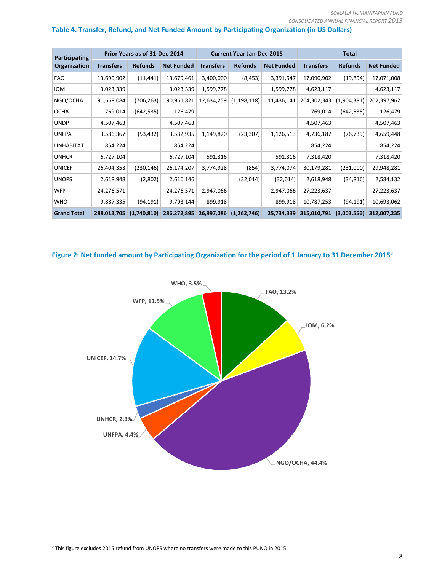#### **Table 4. Transfer, Refund, and Net Funded Amount by Participating Organization (in US Dollars)**

| Participating      | Prior Years as of 31-Dec-2014 |                |                   | <b>Current Year Jan-Dec-2015</b> |                |                   | <b>Total</b>     |                |                   |
|--------------------|-------------------------------|----------------|-------------------|----------------------------------|----------------|-------------------|------------------|----------------|-------------------|
| Organization       | <b>Transfers</b>              | <b>Refunds</b> | <b>Net Funded</b> | <b>Transfers</b>                 | <b>Refunds</b> | <b>Net Funded</b> | <b>Transfers</b> | <b>Refunds</b> | <b>Net Funded</b> |
| <b>FAO</b>         | 13,690,902                    | (11, 441)      | 13,679,461        | 3,400,000                        | (8, 453)       | 3,391,547         | 17,090,902       | (19, 894)      | 17,071,008        |
| <b>IOM</b>         | 3,023,339                     |                | 3,023,339         | 1,599,778                        |                | 1,599,778         | 4,623,117        |                | 4,623,117         |
| NGO/OCHA           | 191,668,084                   | (706, 263)     | 190,961,821       | 12,634,259                       | (1, 198, 118)  | 11,436,141        | 204,302,343      | (1,904,381)    | 202,397,962       |
| <b>OCHA</b>        | 769,014                       | (642, 535)     | 126,479           |                                  |                |                   | 769,014          | (642, 535)     | 126,479           |
| <b>UNDP</b>        | 4,507,463                     |                | 4,507,463         |                                  |                |                   | 4,507,463        |                | 4,507,463         |
| <b>UNFPA</b>       | 3,586,367                     | (53, 432)      | 3,532,935         | 1,149,820                        | (23, 307)      | 1,126,513         | 4,736,187        | (76, 739)      | 4,659,448         |
| <b>UNHABITAT</b>   | 854,224                       |                | 854,224           |                                  |                |                   | 854,224          |                | 854,224           |
| <b>UNHCR</b>       | 6,727,104                     |                | 6,727,104         | 591,316                          |                | 591,316           | 7,318,420        |                | 7,318,420         |
| <b>UNICEF</b>      | 26,404,353                    | (230, 146)     | 26,174,207        | 3,774,928                        | (854)          | 3,774,074         | 30,179,281       | (231,000)      | 29,948,281        |
| <b>UNOPS</b>       | 2,618,948                     | (2,802)        | 2,616,146         |                                  | (32,014)       | (32,014)          | 2,618,948        | (34, 816)      | 2,584,132         |
| <b>WFP</b>         | 24,276,571                    |                | 24,276,571        | 2,947,066                        |                | 2,947,066         | 27,223,637       |                | 27,223,637        |
| <b>WHO</b>         | 9,887,335                     | (94, 191)      | 9,793,144         | 899,918                          |                | 899,918           | 10,787,253       | (94, 191)      | 10,693,062        |
| <b>Grand Total</b> | 288,013,705                   | (1,740,810)    | 286,272,895       | 26,997,086                       | (1, 262, 746)  | 25,734,339        | 315,010,791      | (3,003,556)    | 312,007,235       |

#### **Figure 2: Net funded amount by Participating Organization for the period of 1 January to 31 December 2015<sup>2</sup>**



 $\overline{a}$ 

<sup>2</sup> This figure excludes 2015 refund from UNOPS where no transfers were made to this PUNO in 2015.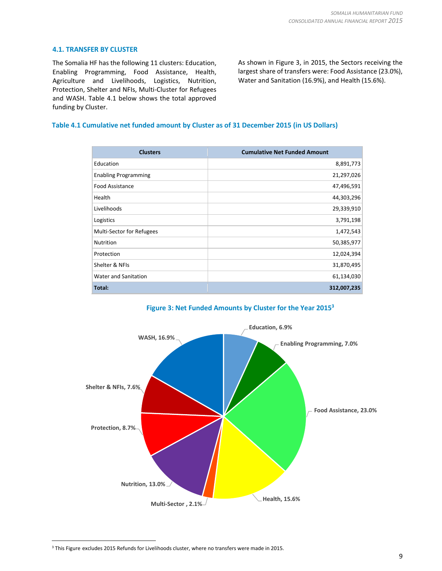#### **4.1. TRANSFER BY CLUSTER**

The Somalia HF has the following 11 clusters: Education, Enabling Programming, Food Assistance, Health, Agriculture and Livelihoods, Logistics, Nutrition, Protection, Shelter and NFIs, Multi-Cluster for Refugees and WASH. Table 4.1 below shows the total approved funding by Cluster.

As shown in Figure 3, in 2015, the Sectors receiving the largest share of transfers were: Food Assistance (23.0%), Water and Sanitation (16.9%), and Health (15.6%).

#### **Table 4.1 Cumulative net funded amount by Cluster as of 31 December 2015 (in US Dollars)**

| <b>Clusters</b>             | <b>Cumulative Net Funded Amount</b> |
|-----------------------------|-------------------------------------|
| Education                   | 8,891,773                           |
| <b>Enabling Programming</b> | 21,297,026                          |
| <b>Food Assistance</b>      | 47,496,591                          |
| Health                      | 44,303,296                          |
| Livelihoods                 | 29,339,910                          |
| Logistics                   | 3,791,198                           |
| Multi-Sector for Refugees   | 1,472,543                           |
| <b>Nutrition</b>            | 50,385,977                          |
| Protection                  | 12,024,394                          |
| Shelter & NFIs              | 31,870,495                          |
| <b>Water and Sanitation</b> | 61,134,030                          |
| Total:                      | 312,007,235                         |



#### **Figure 3: Net Funded Amounts by Cluster for the Year 2015<sup>3</sup>**

 $\overline{a}$ 

<sup>3</sup> This Figure excludes 2015 Refunds for Livelihoods cluster, where no transfers were made in 2015.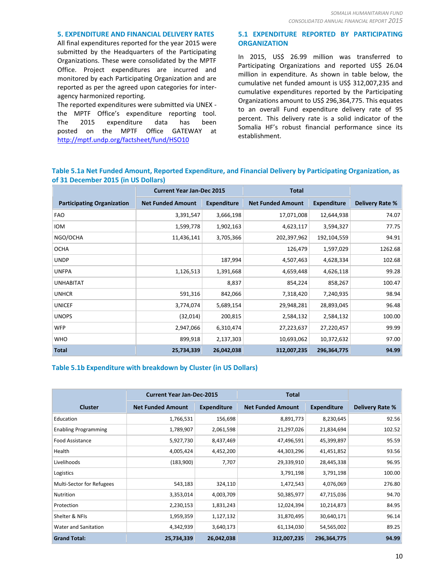#### **5. EXPENDITURE AND FINANCIAL DELIVERY RATES**

All final expenditures reported for the year 2015 were submitted by the Headquarters of the Participating Organizations. These were consolidated by the MPTF Office. Project expenditures are incurred and monitored by each Participating Organization and are reported as per the agreed upon categories for interagency harmonized reporting.

The reported expenditures were submitted via UNEX the MPTF Office's expenditure reporting tool. The 2015 expenditure data has been posted on the MPTF Office GATEWAY at <http://mptf.undp.org/factsheet/fund/HSO10>

#### **5.1 EXPENDITURE REPORTED BY PARTICIPATING ORGANIZATION**

In 2015, US\$ 26.99 million was transferred to Participating Organizations and reported US\$ 26.04 million in expenditure. As shown in table below, the cumulative net funded amount is US\$ 312,007,235 and cumulative expenditures reported by the Participating Organizations amount to US\$ 296,364,775. This equates to an overall Fund expenditure delivery rate of 95 percent. This delivery rate is a solid indicator of the Somalia HF's robust financial performance since its establishment.

| Table 5.1a Net Funded Amount, Reported Expenditure, and Financial Delivery by Participating Organization, as |  |  |
|--------------------------------------------------------------------------------------------------------------|--|--|
| of 31 December 2015 (in US Dollars)                                                                          |  |  |

|                                   | <b>Current Year Jan-Dec 2015</b> |                    | <b>Total</b>             |                    |                        |
|-----------------------------------|----------------------------------|--------------------|--------------------------|--------------------|------------------------|
| <b>Participating Organization</b> | <b>Net Funded Amount</b>         | <b>Expenditure</b> | <b>Net Funded Amount</b> | <b>Expenditure</b> | <b>Delivery Rate %</b> |
| <b>FAO</b>                        | 3,391,547                        | 3,666,198          | 17,071,008               | 12,644,938         | 74.07                  |
| <b>IOM</b>                        | 1,599,778                        | 1,902,163          | 4,623,117                | 3,594,327          | 77.75                  |
| NGO/OCHA                          | 11,436,141                       | 3,705,366          | 202,397,962              | 192,104,559        | 94.91                  |
| <b>OCHA</b>                       |                                  |                    | 126,479                  | 1,597,029          | 1262.68                |
| <b>UNDP</b>                       |                                  | 187,994            | 4,507,463                | 4,628,334          | 102.68                 |
| <b>UNFPA</b>                      | 1,126,513                        | 1,391,668          | 4,659,448                | 4,626,118          | 99.28                  |
| <b>UNHABITAT</b>                  |                                  | 8,837              | 854,224                  | 858,267            | 100.47                 |
| <b>UNHCR</b>                      | 591,316                          | 842,066            | 7,318,420                | 7,240,935          | 98.94                  |
| <b>UNICEF</b>                     | 3,774,074                        | 5,689,154          | 29,948,281               | 28,893,045         | 96.48                  |
| <b>UNOPS</b>                      | (32,014)                         | 200,815            | 2,584,132                | 2,584,132          | 100.00                 |
| <b>WFP</b>                        | 2,947,066                        | 6,310,474          | 27,223,637               | 27,220,457         | 99.99                  |
| <b>WHO</b>                        | 899,918                          | 2,137,303          | 10,693,062               | 10,372,632         | 97.00                  |
| <b>Total</b>                      | 25,734,339                       | 26,042,038         | 312,007,235              | 296,364,775        | 94.99                  |

#### **Table 5.1b Expenditure with breakdown by Cluster (in US Dollars)**

|                                  | <b>Current Year Jan-Dec-2015</b> | <b>Total</b>       |                          |                    |                 |
|----------------------------------|----------------------------------|--------------------|--------------------------|--------------------|-----------------|
| <b>Cluster</b>                   | <b>Net Funded Amount</b>         | <b>Expenditure</b> | <b>Net Funded Amount</b> | <b>Expenditure</b> | Delivery Rate % |
| Education                        | 1,766,531                        | 156,698            | 8,891,773                | 8,230,645          | 92.56           |
| <b>Enabling Programming</b>      | 1,789,907                        | 2,061,598          | 21,297,026               | 21,834,694         | 102.52          |
| <b>Food Assistance</b>           | 5,927,730                        | 8,437,469          | 47,496,591               | 45,399,897         | 95.59           |
| Health                           | 4,005,424                        | 4,452,200          | 44,303,296               | 41,451,852         | 93.56           |
| Livelihoods                      | (183,900)                        | 7,707              | 29,339,910               | 28,445,338         | 96.95           |
| Logistics                        |                                  |                    | 3,791,198                | 3,791,198          | 100.00          |
| <b>Multi-Sector for Refugees</b> | 543,183                          | 324,110            | 1,472,543                | 4,076,069          | 276.80          |
| Nutrition                        | 3,353,014                        | 4,003,709          | 50,385,977               | 47,715,036         | 94.70           |
| Protection                       | 2,230,153                        | 1,831,243          | 12,024,394               | 10,214,873         | 84.95           |
| Shelter & NFIs                   | 1,959,359                        | 1,127,132          | 31,870,495               | 30,640,171         | 96.14           |
| Water and Sanitation             | 4,342,939                        | 3,640,173          | 61,134,030               | 54,565,002         | 89.25           |
| <b>Grand Total:</b>              | 25,734,339                       | 26,042,038         | 312,007,235              | 296,364,775        | 94.99           |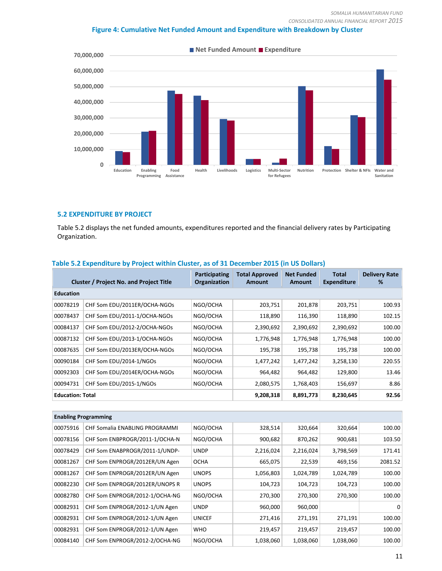#### **Figure 4: Cumulative Net Funded Amount and Expenditure with Breakdown by Cluster**



**5.2 EXPENDITURE BY PROJECT**

Table 5.2 displays the net funded amounts, expenditures reported and the financial delivery rates by Participating Organization.

|                         | <b>Cluster / Project No. and Project Title</b> | Participating<br>Organization | <b>Total Approved</b><br>Amount | <b>Net Funded</b><br><b>Amount</b> | <b>Total</b><br><b>Expenditure</b> | <b>Delivery Rate</b><br>% |  |  |  |
|-------------------------|------------------------------------------------|-------------------------------|---------------------------------|------------------------------------|------------------------------------|---------------------------|--|--|--|
| <b>Education</b>        |                                                |                               |                                 |                                    |                                    |                           |  |  |  |
| 00078219                | CHF Som EDU/2011ER/OCHA-NGOs                   | NGO/OCHA                      | 203,751                         | 201,878                            | 203,751                            | 100.93                    |  |  |  |
| 00078437                | CHF Som EDU/2011-1/OCHA-NGOs                   | NGO/OCHA                      | 118,890                         | 116,390                            | 118,890                            | 102.15                    |  |  |  |
| 00084137                | CHF Som EDU/2012-2/OCHA-NGOs                   | NGO/OCHA                      | 2,390,692                       | 2,390,692                          | 2,390,692                          | 100.00                    |  |  |  |
| 00087132                | CHF Som EDU/2013-1/OCHA-NGOs                   | NGO/OCHA                      | 1,776,948                       | 1,776,948                          | 1,776,948                          | 100.00                    |  |  |  |
| 00087635                | CHF Som EDU/2013ER/OCHA-NGOs                   | NGO/OCHA                      | 195,738                         | 195,738                            | 195,738                            | 100.00                    |  |  |  |
| 00090184                | CHF Som EDU/2014-1/NGOs                        | NGO/OCHA                      | 1,477,242                       | 1,477,242                          | 3,258,130                          | 220.55                    |  |  |  |
| 00092303                | CHF Som EDU/2014ER/OCHA-NGOs                   | NGO/OCHA                      | 964,482                         | 964,482                            | 129,800                            | 13.46                     |  |  |  |
| 00094731                | CHF Som EDU/2015-1/NGOs                        | NGO/OCHA                      | 2,080,575                       | 1,768,403                          | 156,697                            | 8.86                      |  |  |  |
| <b>Education: Total</b> |                                                |                               | 9,208,318                       | 8,891,773                          | 8,230,645                          | 92.56                     |  |  |  |
|                         |                                                |                               |                                 |                                    |                                    |                           |  |  |  |
|                         | <b>Enabling Programming</b>                    |                               |                                 |                                    |                                    |                           |  |  |  |
| 00075916                | CHF Somalia ENABLING PROGRAMMI                 | NGO/OCHA                      | 328,514                         | 320,664                            | 320,664                            | 100.00                    |  |  |  |
| 00078156                | CHF Som ENBPROGR/2011-1/OCHA-N                 | NGO/OCHA                      | 900,682                         | 870,262                            | 900,681                            | 103.50                    |  |  |  |
| 00078429                | CHF Som ENABPROGR/2011-1/UNDP-                 | <b>UNDP</b>                   | 2,216,024                       | 2,216,024                          | 3,798,569                          | 171.41                    |  |  |  |
| 00081267                | CHF Som ENPROGR/2012ER/UN Agen                 | <b>OCHA</b>                   | 665,075                         | 22,539                             | 469,156                            | 2081.52                   |  |  |  |
| 00081267                | CHF Som ENPROGR/2012ER/UN Agen                 | <b>UNOPS</b>                  | 1,056,803                       | 1,024,789                          | 1,024,789                          | 100.00                    |  |  |  |
| 00082230                | CHF Som ENPROGR/2012ER/UNOPS R                 | <b>UNOPS</b>                  | 104,723                         | 104,723                            | 104,723                            | 100.00                    |  |  |  |
| 00082780                | CHF Som ENPROGR/2012-1/OCHA-NG                 | NGO/OCHA                      | 270,300                         | 270,300                            | 270,300                            | 100.00                    |  |  |  |
| 00082931                | CHF Som ENPROGR/2012-1/UN Agen                 | <b>UNDP</b>                   | 960,000                         | 960,000                            |                                    | $\mathbf 0$               |  |  |  |
| 00082931                | CHF Som ENPROGR/2012-1/UN Agen                 | <b>UNICEF</b>                 | 271,416                         | 271,191                            | 271,191                            | 100.00                    |  |  |  |
| 00082931                | CHF Som ENPROGR/2012-1/UN Agen                 | <b>WHO</b>                    | 219,457                         | 219,457                            | 219,457                            | 100.00                    |  |  |  |
| 00084140                | CHF Som ENPROGR/2012-2/OCHA-NG                 | NGO/OCHA                      | 1,038,060                       | 1,038,060                          | 1,038,060                          | 100.00                    |  |  |  |

#### **Table 5.2 Expenditure by Project within Cluster, as of 31 December 2015 (in US Dollars)**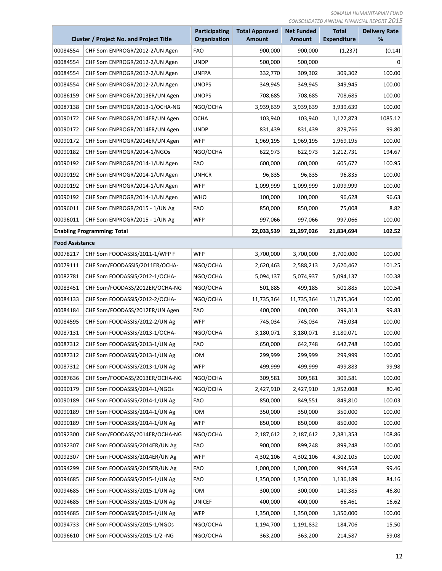|                        | <b>Cluster / Project No. and Project Title</b> |               | <b>Total Approved</b><br><b>Amount</b> | <b>Net Funded</b><br><b>Amount</b> | <b>Total</b><br><b>Expenditure</b> | <b>Delivery Rate</b><br>% |
|------------------------|------------------------------------------------|---------------|----------------------------------------|------------------------------------|------------------------------------|---------------------------|
| 00084554               | CHF Som ENPROGR/2012-2/UN Agen                 | <b>FAO</b>    | 900,000                                | 900,000                            | (1, 237)                           | (0.14)                    |
| 00084554               | CHF Som ENPROGR/2012-2/UN Agen                 | <b>UNDP</b>   | 500,000                                | 500,000                            |                                    | 0                         |
| 00084554               | CHF Som ENPROGR/2012-2/UN Agen                 | <b>UNFPA</b>  | 332,770                                | 309,302                            | 309,302                            | 100.00                    |
| 00084554               | CHF Som ENPROGR/2012-2/UN Agen                 | <b>UNOPS</b>  | 349,945                                | 349,945                            | 349,945                            | 100.00                    |
| 00086159               | CHF Som ENPROGR/2013ER/UN Agen                 | <b>UNOPS</b>  | 708,685                                | 708,685                            | 708,685                            | 100.00                    |
| 00087138               | CHF Som ENPROGR/2013-1/OCHA-NG                 | NGO/OCHA      | 3,939,639                              | 3,939,639                          | 3,939,639                          | 100.00                    |
| 00090172               | CHF Som ENPROGR/2014ER/UN Agen                 | OCHA          | 103,940                                | 103,940                            | 1,127,873                          | 1085.12                   |
| 00090172               | CHF Som ENPROGR/2014ER/UN Agen                 | <b>UNDP</b>   | 831,439                                | 831,439                            | 829,766                            | 99.80                     |
| 00090172               | CHF Som ENPROGR/2014ER/UN Agen                 | <b>WFP</b>    | 1,969,195                              | 1,969,195                          | 1,969,195                          | 100.00                    |
| 00090182               | CHF Som ENPROGR/2014-1/NGOs                    | NGO/OCHA      | 622,973                                | 622,973                            | 1,212,731                          | 194.67                    |
| 00090192               | CHF Som ENPROGR/2014-1/UN Agen                 | <b>FAO</b>    | 600,000                                | 600,000                            | 605,672                            | 100.95                    |
| 00090192               | CHF Som ENPROGR/2014-1/UN Agen                 | <b>UNHCR</b>  | 96,835                                 | 96,835                             | 96,835                             | 100.00                    |
| 00090192               | CHF Som ENPROGR/2014-1/UN Agen                 | <b>WFP</b>    | 1,099,999                              | 1,099,999                          | 1,099,999                          | 100.00                    |
| 00090192               | CHF Som ENPROGR/2014-1/UN Agen                 | <b>WHO</b>    | 100,000                                | 100,000                            | 96,628                             | 96.63                     |
| 00096011               | CHF Som ENPROGR/2015 - 1/UN Ag                 | <b>FAO</b>    | 850,000                                | 850,000                            | 75,008                             | 8.82                      |
| 00096011               | CHF Som ENPROGR/2015 - 1/UN Ag                 | <b>WFP</b>    | 997,066                                | 997,066                            | 997,066                            | 100.00                    |
|                        | <b>Enabling Programming: Total</b>             |               | 22,033,539                             | 21,297,026                         | 21,834,694                         | 102.52                    |
| <b>Food Assistance</b> |                                                |               |                                        |                                    |                                    |                           |
| 00078217               | CHF Som FOODASSIS/2011-1/WFP F                 | <b>WFP</b>    | 3,700,000                              | 3,700,000                          | 3,700,000                          | 100.00                    |
| 00079111               | CHF Som/FOODASSIS/2011ER/OCHA-                 | NGO/OCHA      | 2,620,463                              | 2,588,213                          | 2,620,462                          | 101.25                    |
| 00082781               | CHF Som FOODASSIS/2012-1/OCHA-                 | NGO/OCHA      | 5,094,137                              | 5,074,937                          | 5,094,137                          | 100.38                    |
| 00083451               | CHF Som/FOODASS/2012ER/OCHA-NG                 | NGO/OCHA      | 501,885                                | 499,185                            | 501,885                            | 100.54                    |
| 00084133               | CHF Som FOODASSIS/2012-2/OCHA-                 | NGO/OCHA      | 11,735,364                             | 11,735,364                         | 11,735,364                         | 100.00                    |
| 00084184               | CHF Som/FOODASS/2012ER/UN Agen                 | <b>FAO</b>    | 400,000                                | 400,000                            | 399,313                            | 99.83                     |
| 00084595               | CHF Som FOODASSIS/2012-2/UN Ag                 | <b>WFP</b>    | 745,034                                | 745,034                            | 745,034                            | 100.00                    |
| 00087131               | CHF Som FOODASSIS/2013-1/OCHA-                 | NGO/OCHA      | 3,180,071                              | 3,180,071                          | 3,180,071                          | 100.00                    |
| 00087312               | CHF Som FOODASSIS/2013-1/UN Ag                 | FAO           | 650,000                                | 642,748                            | 642,748                            | 100.00                    |
| 00087312               | CHF Som FOODASSIS/2013-1/UN Ag                 | <b>IOM</b>    | 299,999                                | 299,999                            | 299,999                            | 100.00                    |
| 00087312               | CHF Som FOODASSIS/2013-1/UN Ag                 | <b>WFP</b>    | 499,999                                | 499,999                            | 499,883                            | 99.98                     |
| 00087636               | CHF Som/FOODASS/2013ER/OCHA-NG                 | NGO/OCHA      | 309,581                                | 309,581                            | 309,581                            | 100.00                    |
| 00090179               | CHF Som FOODASSIS/2014-1/NGOs                  | NGO/OCHA      | 2,427,910                              | 2,427,910                          | 1,952,008                          | 80.40                     |
| 00090189               | CHF Som FOODASSIS/2014-1/UN Ag                 | FAO           | 850,000                                | 849,551                            | 849,810                            | 100.03                    |
| 00090189               | CHF Som FOODASSIS/2014-1/UN Ag                 | <b>IOM</b>    | 350,000                                | 350,000                            | 350,000                            | 100.00                    |
| 00090189               | CHF Som FOODASSIS/2014-1/UN Ag                 | <b>WFP</b>    | 850,000                                | 850,000                            | 850,000                            | 100.00                    |
| 00092300               | CHF Som/FOODASS/2014ER/OCHA-NG                 | NGO/OCHA      | 2,187,612                              | 2,187,612                          | 2,381,353                          | 108.86                    |
| 00092307               | CHF Som FOODASSIS/2014ER/UN Ag                 | <b>FAO</b>    | 900,000                                | 899,248                            | 899,248                            | 100.00                    |
| 00092307               | CHF Som FOODASSIS/2014ER/UN Ag                 | <b>WFP</b>    | 4,302,106                              | 4,302,106                          | 4,302,105                          | 100.00                    |
| 00094299               | CHF Som FOODASSIS/2015ER/UN Ag                 | <b>FAO</b>    | 1,000,000                              | 1,000,000                          | 994,568                            | 99.46                     |
| 00094685               | CHF Som FOODASSIS/2015-1/UN Ag                 | <b>FAO</b>    | 1,350,000                              | 1,350,000                          | 1,136,189                          | 84.16                     |
| 00094685               | CHF Som FOODASSIS/2015-1/UN Ag                 | <b>IOM</b>    | 300,000                                | 300,000                            | 140,385                            | 46.80                     |
| 00094685               | CHF Som FOODASSIS/2015-1/UN Ag                 | <b>UNICEF</b> | 400,000                                | 400,000                            | 66,461                             | 16.62                     |
| 00094685               | CHF Som FOODASSIS/2015-1/UN Ag                 | <b>WFP</b>    | 1,350,000                              | 1,350,000                          | 1,350,000                          | 100.00                    |
| 00094733               | CHF Som FOODASSIS/2015-1/NGOs                  | NGO/OCHA      | 1,194,700                              | 1,191,832                          | 184,706                            | 15.50                     |
| 00096610               | CHF Som FOODASSIS/2015-1/2 -NG                 | NGO/OCHA      | 363,200                                | 363,200                            | 214,587                            | 59.08                     |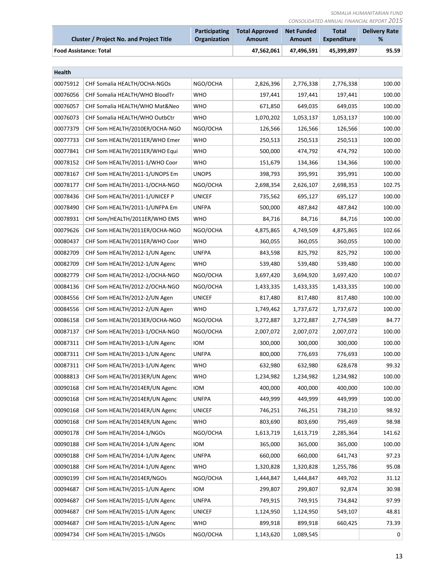| <b>Cluster / Project No. and Project Title</b> | <b>Participating</b> | <b>Total Approved</b> | <b>Net Funded</b> | <b>Total</b> | <b>Delivery Rate</b> |
|------------------------------------------------|----------------------|-----------------------|-------------------|--------------|----------------------|
|                                                | <b>Organization</b>  | Amount                | Amount            | Expenditure  | %                    |
| <b>Food Assistance: Total</b>                  |                      | 47.562.061            | 47.496.591        | 45.399.897   | 95.59                |

| Health   |                                |               |           |           |           |        |
|----------|--------------------------------|---------------|-----------|-----------|-----------|--------|
| 00075912 | CHF Somalia HEALTH/OCHA-NGOs   | NGO/OCHA      | 2,826,396 | 2,776,338 | 2,776,338 | 100.00 |
| 00076056 | CHF Somalia HEALTH/WHO BloodTr | <b>WHO</b>    | 197,441   | 197,441   | 197,441   | 100.00 |
| 00076057 | CHF Somalia HEALTH/WHO Mat&Neo | <b>WHO</b>    | 671,850   | 649,035   | 649,035   | 100.00 |
| 00076073 | CHF Somalia HEALTH/WHO OutbCtr | <b>WHO</b>    | 1,070,202 | 1,053,137 | 1,053,137 | 100.00 |
| 00077379 | CHF Som HEALTH/2010ER/OCHA-NGO | NGO/OCHA      | 126,566   | 126,566   | 126,566   | 100.00 |
| 00077733 | CHF Som HEALTH/2011ER/WHO Emer | <b>WHO</b>    | 250,513   | 250,513   | 250,513   | 100.00 |
| 00077841 | CHF Som HEALTH/2011ER/WHO Equi | <b>WHO</b>    | 500,000   | 474,792   | 474,792   | 100.00 |
| 00078152 | CHF Som HEALTH/2011-1/WHO Coor | <b>WHO</b>    | 151,679   | 134,366   | 134,366   | 100.00 |
| 00078167 | CHF Som HEALTH/2011-1/UNOPS Em | <b>UNOPS</b>  | 398,793   | 395,991   | 395,991   | 100.00 |
| 00078177 | CHF Som HEALTH/2011-1/OCHA-NGO | NGO/OCHA      | 2,698,354 | 2,626,107 | 2,698,353 | 102.75 |
| 00078436 | CHF Som HEALTH/2011-1/UNICEF P | <b>UNICEF</b> | 735,562   | 695,127   | 695,127   | 100.00 |
| 00078490 | CHF Som HEALTH/2011-1/UNFPA Em | <b>UNFPA</b>  | 500,000   | 487,842   | 487,842   | 100.00 |
| 00078931 | CHF Som/HEALTH/2011ER/WHO EMS  | <b>WHO</b>    | 84,716    | 84,716    | 84,716    | 100.00 |
| 00079626 | CHF Som HEALTH/2011ER/OCHA-NGO | NGO/OCHA      | 4,875,865 | 4,749,509 | 4,875,865 | 102.66 |
| 00080437 | CHF Som HEALTH/2011ER/WHO Coor | <b>WHO</b>    | 360,055   | 360,055   | 360,055   | 100.00 |
| 00082709 | CHF Som HEALTH/2012-1/UN Agenc | <b>UNFPA</b>  | 843,598   | 825,792   | 825,792   | 100.00 |
| 00082709 | CHF Som HEALTH/2012-1/UN Agenc | <b>WHO</b>    | 539,480   | 539,480   | 539,480   | 100.00 |
| 00082779 | CHF Som HEALTH/2012-1/OCHA-NGO | NGO/OCHA      | 3,697,420 | 3,694,920 | 3,697,420 | 100.07 |
| 00084136 | CHF Som HEALTH/2012-2/OCHA-NGO | NGO/OCHA      | 1,433,335 | 1,433,335 | 1,433,335 | 100.00 |
| 00084556 | CHF Som HEALTH/2012-2/UN Agen  | <b>UNICEF</b> | 817,480   | 817,480   | 817,480   | 100.00 |
| 00084556 | CHF Som HEALTH/2012-2/UN Agen  | <b>WHO</b>    | 1,749,462 | 1,737,672 | 1,737,672 | 100.00 |
| 00086158 | CHF Som HEALTH/2013ER/OCHA-NGO | NGO/OCHA      | 3,272,887 | 3,272,887 | 2,774,589 | 84.77  |
| 00087137 | CHF Som HEALTH/2013-1/OCHA-NGO | NGO/OCHA      | 2,007,072 | 2,007,072 | 2,007,072 | 100.00 |
| 00087311 | CHF Som HEALTH/2013-1/UN Agenc | <b>IOM</b>    | 300,000   | 300,000   | 300,000   | 100.00 |
| 00087311 | CHF Som HEALTH/2013-1/UN Agenc | <b>UNFPA</b>  | 800,000   | 776,693   | 776,693   | 100.00 |
| 00087311 | CHF Som HEALTH/2013-1/UN Agenc | <b>WHO</b>    | 632,980   | 632,980   | 628,678   | 99.32  |
| 00088813 | CHF Som HEALTH/2013ER/UN Agenc | <b>WHO</b>    | 1,234,982 | 1,234,982 | 1,234,982 | 100.00 |
| 00090168 | CHF Som HEALTH/2014ER/UN Agenc | <b>IOM</b>    | 400,000   | 400,000   | 400,000   | 100.00 |
| 00090168 | CHF Som HEALTH/2014ER/UN Agenc | <b>UNFPA</b>  | 449,999   | 449,999   | 449,999   | 100.00 |
| 00090168 | CHF Som HEALTH/2014ER/UN Agenc | <b>UNICEF</b> | 746,251   | 746,251   | 738,210   | 98.92  |
| 00090168 | CHF Som HEALTH/2014ER/UN Agenc | <b>WHO</b>    | 803,690   | 803,690   | 795,469   | 98.98  |
| 00090178 | CHF Som HEALTH/2014-1/NGOs     | NGO/OCHA      | 1,613,719 | 1,613,719 | 2,285,364 | 141.62 |
| 00090188 | CHF Som HEALTH/2014-1/UN Agenc | <b>IOM</b>    | 365,000   | 365,000   | 365,000   | 100.00 |
| 00090188 | CHF Som HEALTH/2014-1/UN Agenc | <b>UNFPA</b>  | 660,000   | 660,000   | 641,743   | 97.23  |
| 00090188 | CHF Som HEALTH/2014-1/UN Agenc | <b>WHO</b>    | 1,320,828 | 1,320,828 | 1,255,786 | 95.08  |
| 00090199 | CHF Som HEALTH/2014ER/NGOs     | NGO/OCHA      | 1,444,847 | 1,444,847 | 449,702   | 31.12  |
| 00094687 | CHF Som HEALTH/2015-1/UN Agenc | <b>IOM</b>    | 299,807   | 299,807   | 92,874    | 30.98  |
| 00094687 | CHF Som HEALTH/2015-1/UN Agenc | <b>UNFPA</b>  | 749,915   | 749,915   | 734,842   | 97.99  |
| 00094687 | CHF Som HEALTH/2015-1/UN Agenc | <b>UNICEF</b> | 1,124,950 | 1,124,950 | 549,107   | 48.81  |
| 00094687 | CHF Som HEALTH/2015-1/UN Agenc | <b>WHO</b>    | 899,918   | 899,918   | 660,425   | 73.39  |
| 00094734 | CHF Som HEALTH/2015-1/NGOs     | NGO/OCHA      | 1,143,620 | 1,089,545 |           | 0      |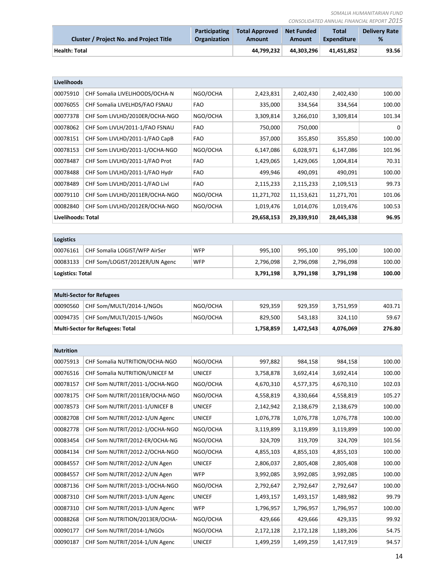| <b>Cluster / Project No. and Project Title</b> | Participating       | <b>Total Approved</b> | <b>Net Funded</b> | <b>Total</b> | <b>Delivery Rate</b> |
|------------------------------------------------|---------------------|-----------------------|-------------------|--------------|----------------------|
|                                                | <b>Organization</b> | Amount                | Amount            | Expenditure  | %                    |
| <b>Health: Total</b>                           |                     | 44.799.232            | 44.303.296        | 41.451.852   | 93.56                |

Ŷ.

| Livelihoods                           |                                         |               |            |            |            |             |
|---------------------------------------|-----------------------------------------|---------------|------------|------------|------------|-------------|
| 00075910                              | CHF Somalia LIVELIHOODS/OCHA-N          | NGO/OCHA      | 2,423,831  | 2,402,430  | 2,402,430  | 100.00      |
| 00076055                              | CHF Somalia LIVELHDS/FAO FSNAU          | <b>FAO</b>    | 335,000    | 334,564    | 334,564    | 100.00      |
| 00077378                              | CHF Som LIVLHD/2010ER/OCHA-NGO          | NGO/OCHA      | 3,309,814  | 3,266,010  | 3,309,814  | 101.34      |
| 00078062                              | CHF Som LIVLH/2011-1/FAO FSNAU          | <b>FAO</b>    | 750,000    | 750,000    |            | $\mathbf 0$ |
| 00078151                              | CHF Som LIVLHD/2011-1/FAO CapB          | <b>FAO</b>    | 357,000    | 355,850    | 355,850    | 100.00      |
| 00078153                              | CHF Som LIVLHD/2011-1/OCHA-NGO          | NGO/OCHA      | 6,147,086  | 6,028,971  | 6,147,086  | 101.96      |
| 00078487                              | CHF Som LIVLHD/2011-1/FAO Prot          | <b>FAO</b>    | 1,429,065  | 1,429,065  | 1,004,814  | 70.31       |
| 00078488                              | CHF Som LIVLHD/2011-1/FAO Hydr          | <b>FAO</b>    | 499,946    | 490,091    | 490,091    | 100.00      |
| 00078489                              | CHF Som LIVLHD/2011-1/FAO Livl          | <b>FAO</b>    | 2,115,233  | 2,115,233  | 2,109,513  | 99.73       |
| 00079110                              | CHF Som LIVLHD/2011ER/OCHA-NGO          | NGO/OCHA      | 11,271,702 | 11,153,621 | 11,271,701 | 101.06      |
| 00082840                              | CHF Som LIVLHD/2012ER/OCHA-NGO          | NGO/OCHA      | 1,019,476  | 1,014,076  | 1,019,476  | 100.53      |
| Livelihoods: Total                    |                                         |               | 29,658,153 | 29,339,910 | 28,445,338 | 96.95       |
|                                       |                                         |               |            |            |            |             |
| Logistics                             |                                         |               |            |            |            |             |
| 00076161                              | CHF Somalia LOGIST/WFP AirSer           | <b>WFP</b>    | 995,100    | 995,100    | 995,100    | 100.00      |
| 00083133                              | CHF Som/LOGIST/2012ER/UN Agenc          | <b>WFP</b>    | 2,796,098  | 2,796,098  | 2,796,098  | 100.00      |
| <b>Logistics: Total</b>               |                                         |               | 3,791,198  | 3,791,198  | 3,791,198  | 100.00      |
|                                       |                                         |               |            |            |            |             |
|                                       | <b>Multi-Sector for Refugees</b>        |               |            |            |            |             |
| 00090560                              | CHF Som/MULTI/2014-1/NGOs               | NGO/OCHA      | 929,359    | 929,359    | 3,751,959  | 403.71      |
| 00094735<br>CHF Som/MULTI/2015-1/NGOs |                                         | NGO/OCHA      | 829,500    | 543,183    | 324,110    | 59.67       |
|                                       | <b>Multi-Sector for Refugees: Total</b> |               | 1,758,859  | 1,472,543  | 4,076,069  | 276.80      |
|                                       |                                         |               |            |            |            |             |
| <b>Nutrition</b>                      |                                         |               |            |            |            |             |
| 00075913                              | CHF Somalia NUTRITION/OCHA-NGO          | NGO/OCHA      | 997,882    | 984,158    | 984,158    | 100.00      |
| 00076516                              | CHF Somalia NUTRITION/UNICEF M          | <b>UNICEF</b> | 3,758,878  | 3,692,414  | 3,692,414  | 100.00      |
| 00078157                              | CHF Som NUTRIT/2011-1/OCHA-NGO          | NGO/OCHA      | 4,670,310  | 4,577,375  | 4,670,310  | 102.03      |
| 00078175                              | CHF Som NUTRIT/2011ER/OCHA-NGO          | NGO/OCHA      | 4,558,819  | 4,330,664  | 4,558,819  | 105.27      |
| 00078573                              | CHF Som NUTRIT/2011-1/UNICEF B          | <b>UNICEF</b> | 2,142,942  | 2,138,679  | 2,138,679  | 100.00      |
| 00082708                              | CHF Som NUTRIT/2012-1/UN Agenc          | <b>UNICEF</b> | 1,076,778  | 1,076,778  | 1,076,778  | 100.00      |
| 00082778                              | CHF Som NUTRIT/2012-1/OCHA-NGO          | NGO/OCHA      | 3,119,899  | 3,119,899  | 3,119,899  | 100.00      |
| 00083454                              | CHF Som NUTRIT/2012-ER/OCHA-NG          | NGO/OCHA      | 324,709    | 319,709    | 324,709    | 101.56      |
| 00084134                              | CHF Som NUTRIT/2012-2/OCHA-NGO          | NGO/OCHA      | 4,855,103  | 4,855,103  | 4,855,103  | 100.00      |
| 00084557                              | CHF Som NUTRIT/2012-2/UN Agen           | <b>UNICEF</b> | 2,806,037  | 2,805,408  | 2,805,408  | 100.00      |
| 00084557                              | CHF Som NUTRIT/2012-2/UN Agen           | <b>WFP</b>    | 3,992,085  | 3,992,085  | 3,992,085  | 100.00      |
| 00087136                              | CHF Som NUTRIT/2013-1/OCHA-NGO          | NGO/OCHA      | 2,792,647  | 2,792,647  | 2,792,647  | 100.00      |
| 00087310                              | CHF Som NUTRIT/2013-1/UN Agenc          | <b>UNICEF</b> | 1,493,157  | 1,493,157  | 1,489,982  | 99.79       |
| 00087310                              | CHF Som NUTRIT/2013-1/UN Agenc          | <b>WFP</b>    | 1,796,957  | 1,796,957  | 1,796,957  | 100.00      |
| 00088268                              | CHF Som NUTRITION/2013ER/OCHA-          | NGO/OCHA      | 429,666    | 429,666    | 429,335    | 99.92       |
| 00090177                              | CHF Som NUTRIT/2014-1/NGOs              | NGO/OCHA      | 2,172,128  | 2,172,128  | 1,189,206  | 54.75       |
| 00090187                              | CHF Som NUTRIT/2014-1/UN Agenc          | <b>UNICEF</b> | 1,499,259  | 1,499,259  |            | 94.57       |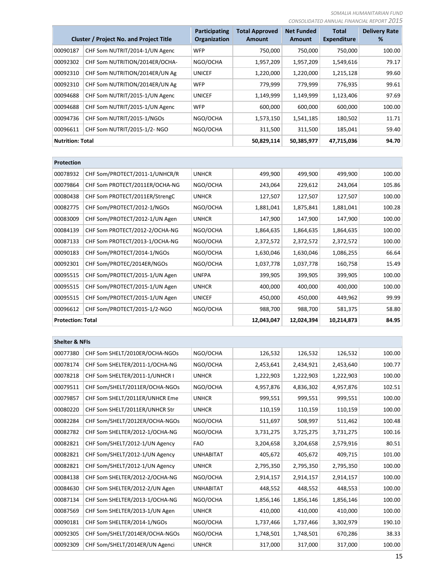| <b>Cluster / Project No. and Project Title</b> |                                | <b>Participating</b><br>Organization | <b>Total Approved</b><br><b>Amount</b> | <b>Net Funded</b><br><b>Amount</b> | <b>Total</b><br><b>Expenditure</b> | <b>Delivery Rate</b><br>% |
|------------------------------------------------|--------------------------------|--------------------------------------|----------------------------------------|------------------------------------|------------------------------------|---------------------------|
| 00090187                                       | CHF Som NUTRIT/2014-1/UN Agenc | <b>WFP</b>                           | 750,000                                | 750,000                            | 750,000                            | 100.00                    |
| 00092302                                       | CHF Som NUTRITION/2014ER/OCHA- | NGO/OCHA                             | 1,957,209                              | 1,957,209                          | 1,549,616                          | 79.17                     |
| 00092310                                       | CHF Som NUTRITION/2014ER/UN Ag | <b>UNICEF</b>                        | 1,220,000                              | 1,220,000                          | 1,215,128                          | 99.60                     |
| 00092310                                       | CHF Som NUTRITION/2014ER/UN Ag | <b>WFP</b>                           | 779,999                                | 779,999                            | 776,935                            | 99.61                     |
| 00094688                                       | CHF Som NUTRIT/2015-1/UN Agenc | <b>UNICEF</b>                        | 1,149,999                              | 1,149,999                          | 1,123,406                          | 97.69                     |
| 00094688                                       | CHF Som NUTRIT/2015-1/UN Agenc | <b>WFP</b>                           | 600,000                                | 600,000                            | 600,000                            | 100.00                    |
| 00094736                                       | CHF Som NUTRIT/2015-1/NGOs     | NGO/OCHA                             | 1,573,150                              | 1,541,185                          | 180,502                            | 11.71                     |
| 00096611                                       | CHF Som NUTRIT/2015-1/2-NGO    | NGO/OCHA                             | 311,500                                | 311,500                            | 185,041                            | 59.40                     |
| <b>Nutrition: Total</b>                        |                                | 50,829,114                           | 50,385,977                             | 47,715,036                         | 94.70                              |                           |

| <b>Protection</b>        |                                |               |            |            |            |        |
|--------------------------|--------------------------------|---------------|------------|------------|------------|--------|
| 00078932                 | CHF Som/PROTECT/2011-1/UNHCR/R | <b>UNHCR</b>  | 499,900    | 499,900    | 499,900    | 100.00 |
| 00079864                 | CHF Som PROTECT/2011ER/OCHA-NG | NGO/OCHA      | 243,064    | 229,612    | 243,064    | 105.86 |
| 00080438                 | CHF Som PROTECT/2011ER/StrengC | <b>UNHCR</b>  | 127,507    | 127,507    | 127,507    | 100.00 |
| 00082775                 | CHF Som/PROTECT/2012-1/NGOs    | NGO/OCHA      | 1,881,041  | 1,875,841  | 1,881,041  | 100.28 |
| 00083009                 | CHF Som/PROTECT/2012-1/UN Agen | <b>UNHCR</b>  | 147,900    | 147,900    | 147,900    | 100.00 |
| 00084139                 | CHF Som PROTECT/2012-2/OCHA-NG | NGO/OCHA      | 1,864,635  | 1,864,635  | 1,864,635  | 100.00 |
| 00087133                 | CHF Som PROTECT/2013-1/OCHA-NG | NGO/OCHA      | 2,372,572  | 2,372,572  | 2,372,572  | 100.00 |
| 00090183                 | CHF Som/PROTECT/2014-1/NGOs    | NGO/OCHA      | 1,630,046  | 1,630,046  | 1,086,255  | 66.64  |
| 00092301                 | CHF Som/PROTEC/2014ER/NGOs     | NGO/OCHA      | 1,037,778  | 1,037,778  | 160,758    | 15.49  |
| 00095515                 | CHF Som/PROTECT/2015-1/UN Agen | <b>UNFPA</b>  | 399,905    | 399,905    | 399,905    | 100.00 |
| 00095515                 | CHF Som/PROTECT/2015-1/UN Agen | <b>UNHCR</b>  | 400,000    | 400,000    | 400,000    | 100.00 |
| 00095515                 | CHF Som/PROTECT/2015-1/UN Agen | <b>UNICEF</b> | 450,000    | 450,000    | 449,962    | 99.99  |
| 00096612                 | CHF Som/PROTECT/2015-1/2-NGO   | NGO/OCHA      | 988,700    | 988,700    | 581,375    | 58.80  |
| <b>Protection: Total</b> |                                |               | 12,043,047 | 12,024,394 | 10,214,873 | 84.95  |

| <b>Shelter &amp; NFIs</b> |                                |                  |           |           |           |        |
|---------------------------|--------------------------------|------------------|-----------|-----------|-----------|--------|
| 00077380                  | CHF Som SHELT/2010ER/OCHA-NGOs | NGO/OCHA         | 126,532   | 126,532   | 126,532   | 100.00 |
| 00078174                  | CHF Som SHELTER/2011-1/OCHA-NG | NGO/OCHA         | 2,453,641 | 2,434,921 | 2,453,640 | 100.77 |
| 00078218                  | CHF Som SHELTER/2011-1/UNHCR I | <b>UNHCR</b>     | 1,222,903 | 1,222,903 | 1,222,903 | 100.00 |
| 00079511                  | CHF Som/SHELT/2011ER/OCHA-NGOs | NGO/OCHA         | 4,957,876 | 4,836,302 | 4,957,876 | 102.51 |
| 00079857                  | CHF Som SHELT/2011ER/UNHCR Eme | <b>UNHCR</b>     | 999,551   | 999,551   | 999,551   | 100.00 |
| 00080220                  | CHF Som SHELT/2011ER/UNHCR Str | <b>UNHCR</b>     | 110,159   | 110,159   | 110,159   | 100.00 |
| 00082284                  | CHF Som/SHELT/2012ER/OCHA-NGOs | NGO/OCHA         | 511,697   | 508,997   | 511,462   | 100.48 |
| 00082782                  | CHF Som SHELTER/2012-1/OCHA-NG | NGO/OCHA         | 3,731,275 | 3,725,275 | 3,731,275 | 100.16 |
| 00082821                  | CHF Som/SHELT/2012-1/UN Agency | <b>FAO</b>       | 3,204,658 | 3,204,658 | 2,579,916 | 80.51  |
| 00082821                  | CHF Som/SHELT/2012-1/UN Agency | <b>UNHABITAT</b> | 405,672   | 405,672   | 409,715   | 101.00 |
| 00082821                  | CHF Som/SHELT/2012-1/UN Agency | <b>UNHCR</b>     | 2,795,350 | 2,795,350 | 2,795,350 | 100.00 |
| 00084138                  | CHF Som SHELTER/2012-2/OCHA-NG | NGO/OCHA         | 2,914,157 | 2,914,157 | 2,914,157 | 100.00 |
| 00084630                  | CHF Som SHELTER/2012-2/UN Agen | <b>UNHABITAT</b> | 448,552   | 448,552   | 448,553   | 100.00 |
| 00087134                  | CHF Som SHELTER/2013-1/OCHA-NG | NGO/OCHA         | 1,856,146 | 1,856,146 | 1,856,146 | 100.00 |
| 00087569                  | CHF Som SHELTER/2013-1/UN Agen | <b>UNHCR</b>     | 410,000   | 410,000   | 410,000   | 100.00 |
| 00090181                  | CHF Som SHELTER/2014-1/NGOs    | NGO/OCHA         | 1,737,466 | 1,737,466 | 3,302,979 | 190.10 |
| 00092305                  | CHF Som/SHELT/2014ER/OCHA-NGOs | NGO/OCHA         | 1,748,501 | 1,748,501 | 670,286   | 38.33  |
| 00092309                  | CHF Som/SHELT/2014ER/UN Agenci | <b>UNHCR</b>     | 317,000   | 317,000   | 317,000   | 100.00 |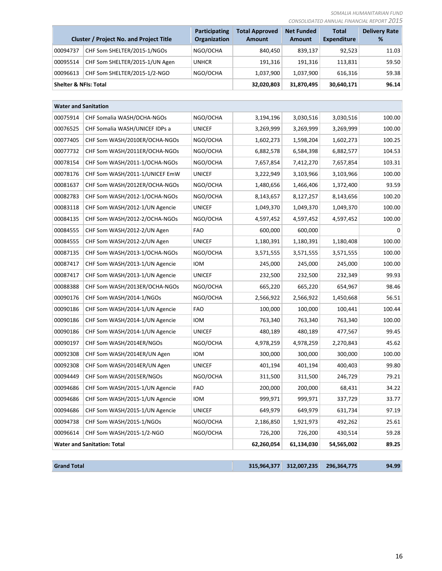| <b>Cluster / Project No. and Project Title</b> |                                | Participating<br><b>Organization</b> | <b>Total Approved</b><br><b>Amount</b> | <b>Net Funded</b><br>Amount | <b>Total</b><br><b>Expenditure</b> | <b>Delivery Rate</b><br>% |
|------------------------------------------------|--------------------------------|--------------------------------------|----------------------------------------|-----------------------------|------------------------------------|---------------------------|
| 00094737                                       | CHF Som SHELTER/2015-1/NGOs    | NGO/OCHA                             | 840.450                                | 839,137                     | 92,523                             | 11.03                     |
| 00095514                                       | CHF Som SHELTER/2015-1/UN Agen | <b>UNHCR</b>                         | 191.316                                | 191.316                     | 113,831                            | 59.50                     |
| 00096613                                       | CHF Som SHELTER/2015-1/2-NGO   | NGO/OCHA                             | 1,037,900                              | 1,037,900                   | 616,316                            | 59.38                     |
| <b>Shelter &amp; NFIs: Total</b>               |                                | 32,020,803                           | 31,870,495                             | 30,640,171                  | 96.14                              |                           |

| <b>Water and Sanitation</b> |                                    |               |             |             |             |        |
|-----------------------------|------------------------------------|---------------|-------------|-------------|-------------|--------|
| 00075914                    | CHF Somalia WASH/OCHA-NGOs         | NGO/OCHA      | 3,194,196   | 3,030,516   | 3,030,516   | 100.00 |
| 00076525                    | CHF Somalia WASH/UNICEF IDPs a     | <b>UNICEF</b> | 3,269,999   | 3,269,999   | 3,269,999   | 100.00 |
| 00077405                    | CHF Som WASH/2010ER/OCHA-NGOs      | NGO/OCHA      | 1,602,273   | 1,598,204   | 1,602,273   | 100.25 |
| 00077732                    | CHF Som WASH/2011ER/OCHA-NGOs      | NGO/OCHA      | 6,882,578   | 6,584,398   | 6,882,577   | 104.53 |
| 00078154                    | CHF Som WASH/2011-1/OCHA-NGOs      | NGO/OCHA      | 7,657,854   | 7,412,270   | 7,657,854   | 103.31 |
| 00078176                    | CHF Som WASH/2011-1/UNICEF EmW     | <b>UNICEF</b> | 3,222,949   | 3,103,966   | 3,103,966   | 100.00 |
| 00081637                    | CHF Som WASH/2012ER/OCHA-NGOs      | NGO/OCHA      | 1,480,656   | 1,466,406   | 1,372,400   | 93.59  |
| 00082783                    | CHF Som WASH/2012-1/OCHA-NGOs      | NGO/OCHA      | 8,143,657   | 8,127,257   | 8,143,656   | 100.20 |
| 00083118                    | CHF Som WASH/2012-1/UN Agencie     | <b>UNICEF</b> | 1,049,370   | 1,049,370   | 1,049,370   | 100.00 |
| 00084135                    | CHF Som WASH/2012-2/OCHA-NGOs      | NGO/OCHA      | 4,597,452   | 4,597,452   | 4,597,452   | 100.00 |
| 00084555                    | CHF Som WASH/2012-2/UN Agen        | <b>FAO</b>    | 600,000     | 600,000     |             | 0      |
| 00084555                    | CHF Som WASH/2012-2/UN Agen        | <b>UNICEF</b> | 1,180,391   | 1,180,391   | 1,180,408   | 100.00 |
| 00087135                    | CHF Som WASH/2013-1/OCHA-NGOs      | NGO/OCHA      | 3,571,555   | 3,571,555   | 3,571,555   | 100.00 |
| 00087417                    | CHF Som WASH/2013-1/UN Agencie     | <b>IOM</b>    | 245,000     | 245,000     | 245,000     | 100.00 |
| 00087417                    | CHF Som WASH/2013-1/UN Agencie     | <b>UNICEF</b> | 232,500     | 232,500     | 232,349     | 99.93  |
| 00088388                    | CHF Som WASH/2013ER/OCHA-NGOs      | NGO/OCHA      | 665,220     | 665,220     | 654,967     | 98.46  |
| 00090176                    | CHF Som WASH/2014-1/NGOs           | NGO/OCHA      | 2,566,922   | 2,566,922   | 1,450,668   | 56.51  |
| 00090186                    | CHF Som WASH/2014-1/UN Agencie     | <b>FAO</b>    | 100,000     | 100,000     | 100,441     | 100.44 |
| 00090186                    | CHF Som WASH/2014-1/UN Agencie     | <b>IOM</b>    | 763,340     | 763,340     | 763,340     | 100.00 |
| 00090186                    | CHF Som WASH/2014-1/UN Agencie     | <b>UNICEF</b> | 480,189     | 480,189     | 477,567     | 99.45  |
| 00090197                    | CHF Som WASH/2014ER/NGOs           | NGO/OCHA      | 4,978,259   | 4,978,259   | 2,270,843   | 45.62  |
| 00092308                    | CHF Som WASH/2014ER/UN Agen        | <b>IOM</b>    | 300,000     | 300,000     | 300,000     | 100.00 |
| 00092308                    | CHF Som WASH/2014ER/UN Agen        | <b>UNICEF</b> | 401,194     | 401,194     | 400,403     | 99.80  |
| 00094449                    | CHF Som WASH/2015ER/NGOs           | NGO/OCHA      | 311,500     | 311,500     | 246,729     | 79.21  |
| 00094686                    | CHF Som WASH/2015-1/UN Agencie     | <b>FAO</b>    | 200,000     | 200,000     | 68,431      | 34.22  |
| 00094686                    | CHF Som WASH/2015-1/UN Agencie     | <b>IOM</b>    | 999,971     | 999,971     | 337,729     | 33.77  |
| 00094686                    | CHF Som WASH/2015-1/UN Agencie     | <b>UNICEF</b> | 649,979     | 649,979     | 631,734     | 97.19  |
| 00094738                    | CHF Som WASH/2015-1/NGOs           | NGO/OCHA      | 2,186,850   | 1,921,973   | 492,262     | 25.61  |
| 00096614                    | CHF Som WASH/2015-1/2-NGO          | NGO/OCHA      | 726,200     | 726,200     | 430,514     | 59.28  |
|                             | <b>Water and Sanitation: Total</b> |               | 62,260,054  | 61,134,030  | 54,565,002  | 89.25  |
|                             |                                    |               |             |             |             |        |
| <b>Grand Total</b>          |                                    |               | 315,964,377 | 312,007,235 | 296,364,775 | 94.99  |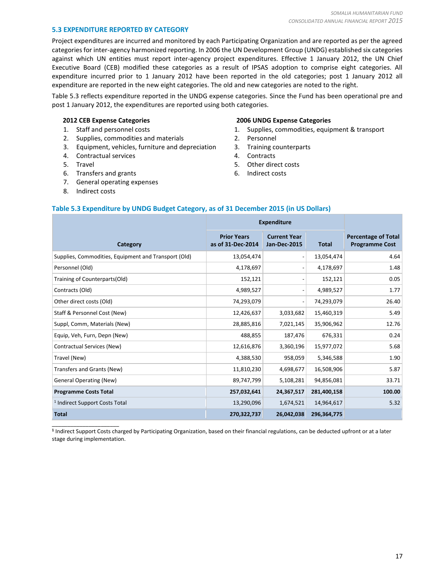#### **5.3 EXPENDITURE REPORTED BY CATEGORY**

Project expenditures are incurred and monitored by each Participating Organization and are reported as per the agreed categories for inter-agency harmonized reporting. In 2006 the UN Development Group (UNDG) established six categories against which UN entities must report inter-agency project expenditures. Effective 1 January 2012, the UN Chief Executive Board (CEB) modified these categories as a result of IPSAS adoption to comprise eight categories. All expenditure incurred prior to 1 January 2012 have been reported in the old categories; post 1 January 2012 all expenditure are reported in the new eight categories. The old and new categories are noted to the right.

Table 5.3 reflects expenditure reported in the UNDG expense categories. Since the Fund has been operational pre and post 1 January 2012, the expenditures are reported using both categories.

#### **2012 CEB Expense Categories**

- 1. Staff and personnel costs
- 2. Supplies, commodities and materials
- 3. Equipment, vehicles, furniture and depreciation
- 4. Contractual services
- 5. Travel
- 6. Transfers and grants
- 7. General operating expenses
- 8. Indirect costs

\_\_\_\_\_\_\_\_\_\_\_\_\_\_\_\_\_\_\_\_\_\_

#### **2006 UNDG Expense Categories**

- 1. Supplies, commodities, equipment & transport
- 2. Personnel
- 3. Training counterparts
- 4. Contracts
- 5. Other direct costs
- 6. Indirect costs

#### **Table 5.3 Expenditure by UNDG Budget Category, as of 31 December 2015 (in US Dollars)**

|                                                      |                                         | <b>Expenditure</b>                         |              |                                                     |  |  |  |
|------------------------------------------------------|-----------------------------------------|--------------------------------------------|--------------|-----------------------------------------------------|--|--|--|
| Category                                             | <b>Prior Years</b><br>as of 31-Dec-2014 | <b>Current Year</b><br><b>Jan-Dec-2015</b> | <b>Total</b> | <b>Percentage of Total</b><br><b>Programme Cost</b> |  |  |  |
| Supplies, Commodities, Equipment and Transport (Old) | 13,054,474                              |                                            | 13,054,474   | 4.64                                                |  |  |  |
| Personnel (Old)                                      | 4,178,697                               |                                            | 4,178,697    | 1.48                                                |  |  |  |
| Training of Counterparts(Old)                        | 152,121                                 |                                            | 152,121      | 0.05                                                |  |  |  |
| Contracts (Old)                                      | 4,989,527                               |                                            | 4,989,527    | 1.77                                                |  |  |  |
| Other direct costs (Old)                             | 74,293,079                              |                                            | 74,293,079   | 26.40                                               |  |  |  |
| Staff & Personnel Cost (New)                         | 12,426,637                              | 3,033,682                                  | 15,460,319   | 5.49                                                |  |  |  |
| Suppl, Comm, Materials (New)                         | 28,885,816                              | 7,021,145                                  | 35,906,962   | 12.76                                               |  |  |  |
| Equip, Veh, Furn, Depn (New)                         | 488,855                                 | 187,476                                    | 676,331      | 0.24                                                |  |  |  |
| Contractual Services (New)                           | 12,616,876                              | 3,360,196                                  | 15,977,072   | 5.68                                                |  |  |  |
| Travel (New)                                         | 4,388,530                               | 958,059                                    | 5,346,588    | 1.90                                                |  |  |  |
| Transfers and Grants (New)                           | 11,810,230                              | 4,698,677                                  | 16,508,906   | 5.87                                                |  |  |  |
| <b>General Operating (New)</b>                       | 89,747,799                              | 5,108,281                                  | 94,856,081   | 33.71                                               |  |  |  |
| <b>Programme Costs Total</b>                         | 257,032,641                             | 24,367,517                                 | 281,400,158  | 100.00                                              |  |  |  |
| <sup>1</sup> Indirect Support Costs Total            | 13,290,096                              | 1,674,521                                  | 14,964,617   | 5.32                                                |  |  |  |
| <b>Total</b>                                         | 270,322,737                             | 26,042,038                                 | 296,364,775  |                                                     |  |  |  |

**1** Indirect Support Costs charged by Participating Organization, based on their financial regulations, can be deducted upfront or at a later stage during implementation.